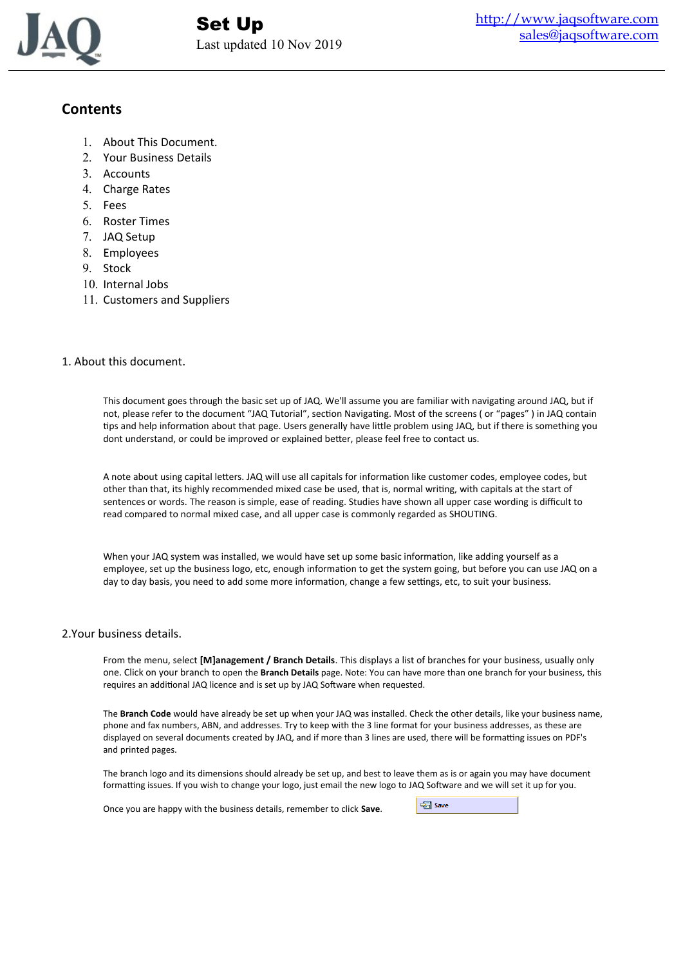

# **Contents**

- 1. About This Document.
- 2. Your Business Details
- 3. Accounts
- 4. Charge Rates
- 5. Fees
- 6. Roster Times
- 7. JAQ Setup
- 8. Employees
- 9. Stock
- 10. Internal Jobs
- 11. Customers and Suppliers

# 1. About this document.

This document goes through the basic set up of JAQ. We'll assume you are familiar with navigating around JAQ, but if not, please refer to the document "JAQ Tutorial", section Navigating. Most of the screens ( or "pages" ) in JAQ contain tips and help information about that page. Users generally have little problem using JAQ, but if there is something you dont understand, or could be improved or explained better, please feel free to contact us.

A note about using capital letters. JAQ will use all capitals for information like customer codes, employee codes, but other than that, its highly recommended mixed case be used, that is, normal writing, with capitals at the start of sentences or words. The reason is simple, ease of reading. Studies have shown all upper case wording is difficult to read compared to normal mixed case, and all upper case is commonly regarded as SHOUTING.

When your JAQ system was installed, we would have set up some basic information, like adding yourself as a employee, set up the business logo, etc, enough information to get the system going, but before you can use JAQ on a day to day basis, you need to add some more information, change a few settings, etc, to suit your business.

# 2.Your business details.

From the menu, select **[M]anagement / Branch Details**. This displays a list of branches for your business, usually only one. Click on your branch to open the **Branch Details** page. Note: You can have more than one branch for your business, this requires an additional JAQ licence and is set up by JAQ Software when requested.

The **Branch Code** would have already be set up when your JAQ was installed. Check the other details, like your business name, phone and fax numbers, ABN, and addresses. Try to keep with the 3 line format for your business addresses, as these are displayed on several documents created by JAQ, and if more than 3 lines are used, there will be formatting issues on PDF's and printed pages.

The branch logo and its dimensions should already be set up, and best to leave them as is or again you may have document formatting issues. If you wish to change your logo, just email the new logo to JAQ Software and we will set it up for you.

Once you are happy with the business details, remember to click **Save**.

Save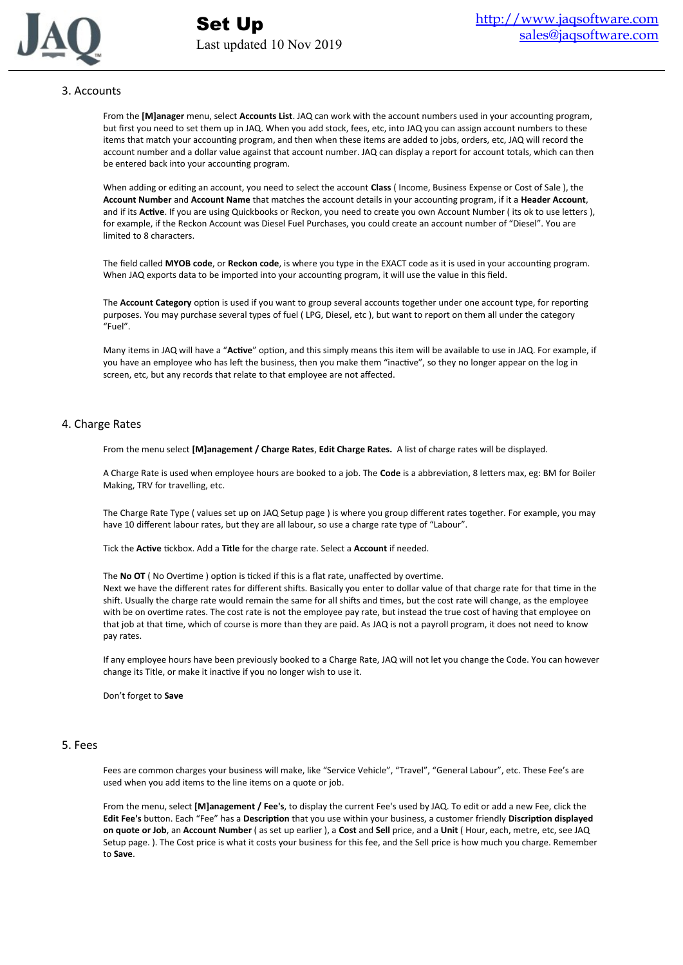

# 3. Accounts

From the **[M]anager** menu, select **Accounts List**. JAQ can work with the account numbers used in your accounting program, but first you need to set them up in JAQ. When you add stock, fees, etc, into JAQ you can assign account numbers to these items that match your accounting program, and then when these items are added to jobs, orders, etc, JAQ will record the account number and a dollar value against that account number. JAQ can display a report for account totals, which can then be entered back into your accounting program.

When adding or editing an account, you need to select the account **Class** ( Income, Business Expense or Cost of Sale ), the **Account Number** and **Account Name** that matches the account details in your accounting program, if it a **Header Account**, and if its **Active**. If you are using Quickbooks or Reckon, you need to create you own Account Number ( its ok to use letters ), for example, if the Reckon Account was Diesel Fuel Purchases, you could create an account number of "Diesel". You are limited to 8 characters.

The field called **MYOB code**, or **Reckon code**, is where you type in the EXACT code as it is used in your accounting program. When JAQ exports data to be imported into your accounting program, it will use the value in this field.

The **Account Category** option is used if you want to group several accounts together under one account type, for reporting purposes. You may purchase several types of fuel ( LPG, Diesel, etc ), but want to report on them all under the category "Fuel".

Many items in JAQ will have a "**Active**" option, and this simply means this item will be available to use in JAQ. For example, if you have an employee who has left the business, then you make them "inactive", so they no longer appear on the log in screen, etc, but any records that relate to that employee are not affected.

## 4. Charge Rates

From the menu select **[M]anagement / Charge Rates**, **Edit Charge Rates.** A list of charge rates will be displayed.

A Charge Rate is used when employee hours are booked to a job. The **Code** is a abbreviation, 8 letters max, eg: BM for Boiler Making, TRV for travelling, etc.

The Charge Rate Type ( values set up on JAQ Setup page ) is where you group different rates together. For example, you may have 10 different labour rates, but they are all labour, so use a charge rate type of "Labour".

Tick the **Active** tickbox. Add a **Title** for the charge rate. Select a **Account** if needed.

The **No OT** ( No Overtime ) option is ticked if this is a flat rate, unaffected by overtime. Next we have the different rates for different shifts. Basically you enter to dollar value of that charge rate for that time in the shift. Usually the charge rate would remain the same for all shifts and times, but the cost rate will change, as the employee with be on overtime rates. The cost rate is not the employee pay rate, but instead the true cost of having that employee on that job at that time, which of course is more than they are paid. As JAQ is not a payroll program, it does not need to know pay rates.

If any employee hours have been previously booked to a Charge Rate, JAQ will not let you change the Code. You can however change its Title, or make it inactive if you no longer wish to use it.

Don't forget to **Save**

#### 5. Fees

Fees are common charges your business will make, like "Service Vehicle", "Travel", "General Labour", etc. These Fee's are used when you add items to the line items on a quote or job.

From the menu, select **[M]anagement / Fee's**, to display the current Fee's used by JAQ. To edit or add a new Fee, click the **Edit Fee's** button. Each "Fee" has a **Description** that you use within your business, a customer friendly **Discription displayed on quote or Job**, an **Account Number** ( as set up earlier ), a **Cost** and **Sell** price, and a **Unit** ( Hour, each, metre, etc, see JAQ Setup page. ). The Cost price is what it costs your business for this fee, and the Sell price is how much you charge. Remember to **Save**.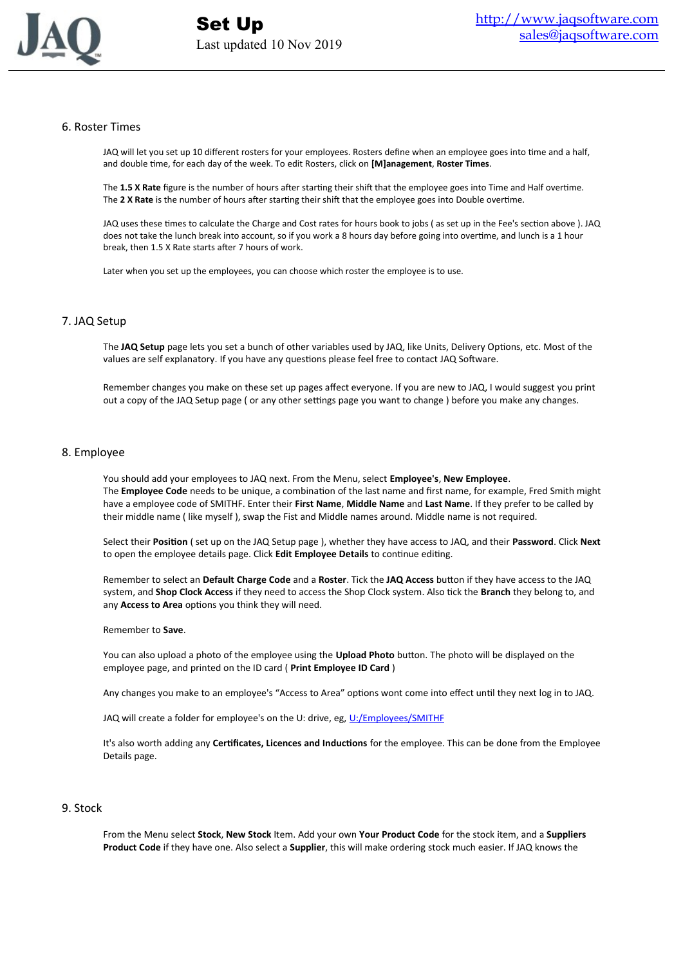

## 6. Roster Times

JAQ will let you set up 10 different rosters for your employees. Rosters define when an employee goes into time and a half, and double time, for each day of the week. To edit Rosters, click on **[M]anagement**, **Roster Times**.

The **1.5 X Rate** figure is the number of hours after starting their shift that the employee goes into Time and Half overtime. The **2 X Rate** is the number of hours after starting their shift that the employee goes into Double overtime.

JAQ uses these times to calculate the Charge and Cost rates for hours book to jobs ( as set up in the Fee's section above ). JAQ does not take the lunch break into account, so if you work a 8 hours day before going into overtime, and lunch is a 1 hour break, then 1.5 X Rate starts after 7 hours of work.

Later when you set up the employees, you can choose which roster the employee is to use.

## 7. JAQ Setup

The **JAQ Setup** page lets you set a bunch of other variables used by JAQ, like Units, Delivery Options, etc. Most of the values are self explanatory. If you have any questions please feel free to contact JAQ Software.

Remember changes you make on these set up pages affect everyone. If you are new to JAQ, I would suggest you print out a copy of the JAQ Setup page ( or any other settings page you want to change ) before you make any changes.

#### 8. Employee

You should add your employees to JAQ next. From the Menu, select **Employee's**, **New Employee**. The **Employee Code** needs to be unique, a combination of the last name and first name, for example, Fred Smith might have a employee code of SMITHF. Enter their **First Name**, **Middle Name** and **Last Name**. If they prefer to be called by their middle name ( like myself ), swap the Fist and Middle names around. Middle name is not required.

Select their **Position** ( set up on the JAQ Setup page ), whether they have access to JAQ, and their **Password**. Click **Next** to open the employee details page. Click **Edit Employee Details** to continue editing.

Remember to select an **Default Charge Code** and a **Roster**. Tick the **JAQ Access** button if they have access to the JAQ system, and **Shop Clock Access** if they need to access the Shop Clock system. Also tick the **Branch** they belong to, and any **Access to Area** options you think they will need.

#### Remember to **Save**.

You can also upload a photo of the employee using the **Upload Photo** button. The photo will be displayed on the employee page, and printed on the ID card ( **Print Employee ID Card** )

Any changes you make to an employee's "Access to Area" options wont come into effect until they next log in to JAQ.

JAQ will create a folder for employee's on the U: drive, eg, [U:/Employees/SMITHF](file:///U:/Employees/SMITHF)

It's also worth adding any **Certificates, Licences and Inductions** for the employee. This can be done from the Employee Details page.

#### 9. Stock

From the Menu select **Stock**, **New Stock** Item. Add your own **Your Product Code** for the stock item, and a **Suppliers Product Code** if they have one. Also select a **Supplier**, this will make ordering stock much easier. If JAQ knows the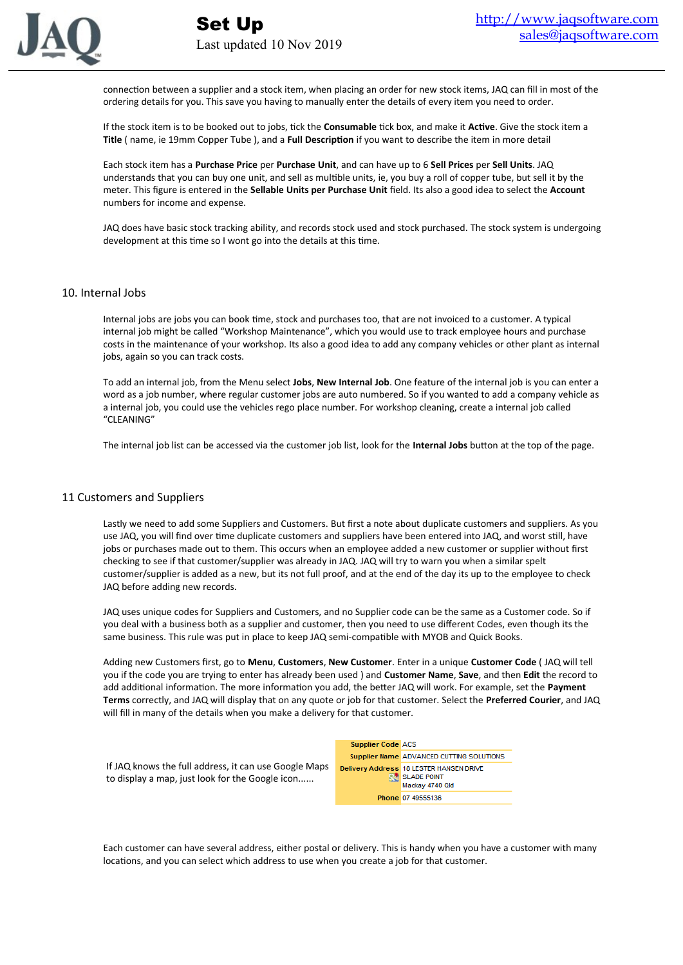

connection between a supplier and a stock item, when placing an order for new stock items, JAQ can fill in most of the ordering details for you. This save you having to manually enter the details of every item you need to order.

If the stock item is to be booked out to jobs, tick the **Consumable** tick box, and make it **Active**. Give the stock item a **Title** ( name, ie 19mm Copper Tube ), and a **Full Description** if you want to describe the item in more detail

Each stock item has a **Purchase Price** per **Purchase Unit**, and can have up to 6 **Sell Prices** per **Sell Units**. JAQ understands that you can buy one unit, and sell as multible units, ie, you buy a roll of copper tube, but sell it by the meter. This figure is entered in the **Sellable Units per Purchase Unit** field. Its also a good idea to select the **Account** numbers for income and expense.

JAQ does have basic stock tracking ability, and records stock used and stock purchased. The stock system is undergoing development at this time so I wont go into the details at this time.

## 10. Internal Jobs

Internal jobs are jobs you can book time, stock and purchases too, that are not invoiced to a customer. A typical internal job might be called "Workshop Maintenance", which you would use to track employee hours and purchase costs in the maintenance of your workshop. Its also a good idea to add any company vehicles or other plant as internal jobs, again so you can track costs.

To add an internal job, from the Menu select **Jobs**, **New Internal Job**. One feature of the internal job is you can enter a word as a job number, where regular customer jobs are auto numbered. So if you wanted to add a company vehicle as a internal job, you could use the vehicles rego place number. For workshop cleaning, create a internal job called "CLEANING"

The internal job list can be accessed via the customer job list, look for the **Internal Jobs** button at the top of the page.

## 11 Customers and Suppliers

Lastly we need to add some Suppliers and Customers. But first a note about duplicate customers and suppliers. As you use JAQ, you will find over time duplicate customers and suppliers have been entered into JAQ, and worst still, have jobs or purchases made out to them. This occurs when an employee added a new customer or supplier without first checking to see if that customer/supplier was already in JAQ. JAQ will try to warn you when a similar spelt customer/supplier is added as a new, but its not full proof, and at the end of the day its up to the employee to check JAQ before adding new records.

JAQ uses unique codes for Suppliers and Customers, and no Supplier code can be the same as a Customer code. So if you deal with a business both as a supplier and customer, then you need to use different Codes, even though its the same business. This rule was put in place to keep JAQ semi-compatible with MYOB and Quick Books.

Adding new Customers first, go to **Menu**, **Customers**, **New Customer**. Enter in a unique **Customer Code** ( JAQ will tell you if the code you are trying to enter has already been used ) and **Customer Name**, **Save**, and then **Edit** the record to add additional information. The more information you add, the better JAQ will work. For example, set the **Payment Terms** correctly, and JAQ will display that on any quote or job for that customer. Select the **Preferred Courier**, and JAQ will fill in many of the details when you make a delivery for that customer.

|                                                                                                          | <b>Supplier Code ACS</b> |                                                                                             |
|----------------------------------------------------------------------------------------------------------|--------------------------|---------------------------------------------------------------------------------------------|
|                                                                                                          |                          | Supplier Name ADVANCED CUTTING SOLUTIONS                                                    |
| If JAQ knows the full address, it can use Google Maps<br>to display a map, just look for the Google icon |                          | <b>Delivery Address</b> 18 LESTER HANSEN DRIVE<br><b>RAI SLADE POINT</b><br>Mackay 4740 Qld |
|                                                                                                          |                          | Phone 07 49555136                                                                           |

Each customer can have several address, either postal or delivery. This is handy when you have a customer with many locations, and you can select which address to use when you create a job for that customer.